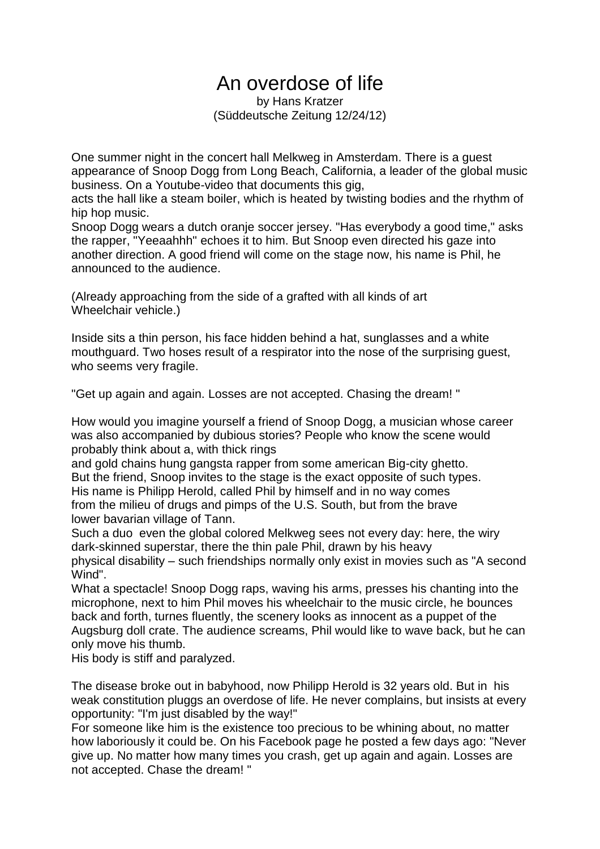## An overdose of life

by Hans Kratzer (Süddeutsche Zeitung 12/24/12)

One summer night in the concert hall Melkweg in Amsterdam. There is a guest appearance of Snoop Dogg from Long Beach, California, a leader of the global music business. On a Youtube-video that documents this gig,

acts the hall like a steam boiler, which is heated by twisting bodies and the rhythm of hip hop music.

Snoop Dogg wears a dutch oranje soccer jersey. "Has everybody a good time," asks the rapper, "Yeeaahhh" echoes it to him. But Snoop even directed his gaze into another direction. A good friend will come on the stage now, his name is Phil, he announced to the audience.

(Already approaching from the side of a grafted with all kinds of art Wheelchair vehicle.)

Inside sits a thin person, his face hidden behind a hat, sunglasses and a white mouthguard. Two hoses result of a respirator into the nose of the surprising guest, who seems very fragile.

"Get up again and again. Losses are not accepted. Chasing the dream! "

How would you imagine yourself a friend of Snoop Dogg, a musician whose career was also accompanied by dubious stories? People who know the scene would probably think about a, with thick rings

and gold chains hung gangsta rapper from some american Big-city ghetto. But the friend, Snoop invites to the stage is the exact opposite of such types. His name is Philipp Herold, called Phil by himself and in no way comes from the milieu of drugs and pimps of the U.S. South, but from the brave lower bavarian village of Tann.

Such a duo even the global colored Melkweg sees not every day: here, the wiry dark-skinned superstar, there the thin pale Phil, drawn by his heavy physical disability – such friendships normally only exist in movies such as "A second Wind".

What a spectacle! Snoop Dogg raps, waving his arms, presses his chanting into the microphone, next to him Phil moves his wheelchair to the music circle, he bounces back and forth, turnes fluently, the scenery looks as innocent as a puppet of the Augsburg doll crate. The audience screams, Phil would like to wave back, but he can only move his thumb.

His body is stiff and paralyzed.

The disease broke out in babyhood, now Philipp Herold is 32 years old. But in his weak constitution pluggs an overdose of life. He never complains, but insists at every opportunity: "I'm just disabled by the way!"

For someone like him is the existence too precious to be whining about, no matter how laboriously it could be. On his Facebook page he posted a few days ago: "Never give up. No matter how many times you crash, get up again and again. Losses are not accepted. Chase the dream! "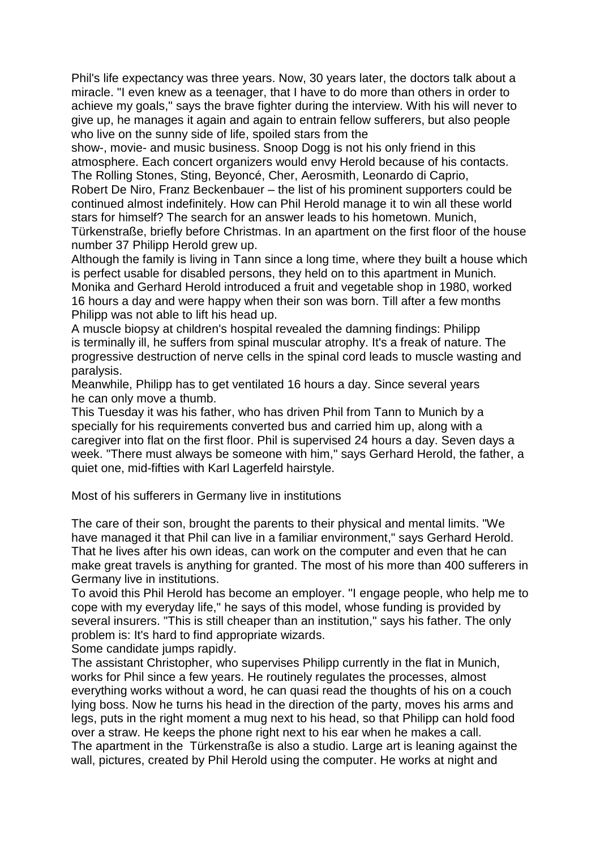Phil's life expectancy was three years. Now, 30 years later, the doctors talk about a miracle. "I even knew as a teenager, that I have to do more than others in order to achieve my goals," says the brave fighter during the interview. With his will never to give up, he manages it again and again to entrain fellow sufferers, but also people who live on the sunny side of life, spoiled stars from the

show-, movie- and music business. Snoop Dogg is not his only friend in this atmosphere. Each concert organizers would envy Herold because of his contacts. The Rolling Stones, Sting, Beyoncé, Cher, Aerosmith, Leonardo di Caprio,

Robert De Niro, Franz Beckenbauer – the list of his prominent supporters could be continued almost indefinitely. How can Phil Herold manage it to win all these world stars for himself? The search for an answer leads to his hometown. Munich, Türkenstraße, briefly before Christmas. In an apartment on the first floor of the house number 37 Philipp Herold grew up.

Although the family is living in Tann since a long time, where they built a house which is perfect usable for disabled persons, they held on to this apartment in Munich. Monika and Gerhard Herold introduced a fruit and vegetable shop in 1980, worked 16 hours a day and were happy when their son was born. Till after a few months Philipp was not able to lift his head up.

A muscle biopsy at children's hospital revealed the damning findings: Philipp is terminally ill, he suffers from spinal muscular atrophy. It's a freak of nature. The progressive destruction of nerve cells in the spinal cord leads to muscle wasting and paralysis.

Meanwhile, Philipp has to get ventilated 16 hours a day. Since several years he can only move a thumb.

This Tuesday it was his father, who has driven Phil from Tann to Munich by a specially for his requirements converted bus and carried him up, along with a caregiver into flat on the first floor. Phil is supervised 24 hours a day. Seven days a week. "There must always be someone with him," says Gerhard Herold, the father, a quiet one, mid-fifties with Karl Lagerfeld hairstyle.

Most of his sufferers in Germany live in institutions

The care of their son, brought the parents to their physical and mental limits. "We have managed it that Phil can live in a familiar environment," says Gerhard Herold. That he lives after his own ideas, can work on the computer and even that he can make great travels is anything for granted. The most of his more than 400 sufferers in Germany live in institutions.

To avoid this Phil Herold has become an employer. "I engage people, who help me to cope with my everyday life," he says of this model, whose funding is provided by several insurers. "This is still cheaper than an institution," says his father. The only problem is: It's hard to find appropriate wizards.

Some candidate jumps rapidly.

The assistant Christopher, who supervises Philipp currently in the flat in Munich, works for Phil since a few years. He routinely regulates the processes, almost everything works without a word, he can quasi read the thoughts of his on a couch lying boss. Now he turns his head in the direction of the party, moves his arms and legs, puts in the right moment a mug next to his head, so that Philipp can hold food over a straw. He keeps the phone right next to his ear when he makes a call. The apartment in the Türkenstraße is also a studio. Large art is leaning against the wall, pictures, created by Phil Herold using the computer. He works at night and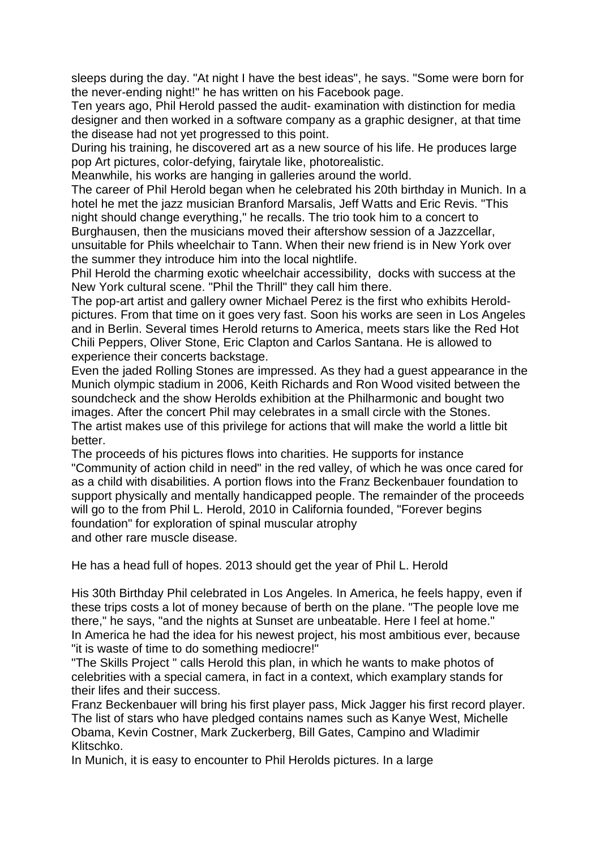sleeps during the day. "At night I have the best ideas", he says. "Some were born for the never-ending night!" he has written on his Facebook page.

Ten years ago, Phil Herold passed the audit- examination with distinction for media designer and then worked in a software company as a graphic designer, at that time the disease had not yet progressed to this point.

During his training, he discovered art as a new source of his life. He produces large pop Art pictures, color-defying, fairytale like, photorealistic.

Meanwhile, his works are hanging in galleries around the world.

The career of Phil Herold began when he celebrated his 20th birthday in Munich. In a hotel he met the jazz musician Branford Marsalis, Jeff Watts and Eric Revis. "This night should change everything," he recalls. The trio took him to a concert to Burghausen, then the musicians moved their aftershow session of a Jazzcellar, unsuitable for Phils wheelchair to Tann. When their new friend is in New York over the summer they introduce him into the local nightlife.

Phil Herold the charming exotic wheelchair accessibility, docks with success at the New York cultural scene. "Phil the Thrill" they call him there.

The pop-art artist and gallery owner Michael Perez is the first who exhibits Heroldpictures. From that time on it goes very fast. Soon his works are seen in Los Angeles and in Berlin. Several times Herold returns to America, meets stars like the Red Hot Chili Peppers, Oliver Stone, Eric Clapton and Carlos Santana. He is allowed to experience their concerts backstage.

Even the jaded Rolling Stones are impressed. As they had a guest appearance in the Munich olympic stadium in 2006, Keith Richards and Ron Wood visited between the soundcheck and the show Herolds exhibition at the Philharmonic and bought two images. After the concert Phil may celebrates in a small circle with the Stones. The artist makes use of this privilege for actions that will make the world a little bit better.

The proceeds of his pictures flows into charities. He supports for instance "Community of action child in need" in the red valley, of which he was once cared for as a child with disabilities. A portion flows into the Franz Beckenbauer foundation to support physically and mentally handicapped people. The remainder of the proceeds will go to the from Phil L. Herold, 2010 in California founded, "Forever begins foundation" for exploration of spinal muscular atrophy and other rare muscle disease.

He has a head full of hopes. 2013 should get the year of Phil L. Herold

His 30th Birthday Phil celebrated in Los Angeles. In America, he feels happy, even if these trips costs a lot of money because of berth on the plane. "The people love me there," he says, "and the nights at Sunset are unbeatable. Here I feel at home." In America he had the idea for his newest project, his most ambitious ever, because "it is waste of time to do something mediocre!"

"The Skills Project " calls Herold this plan, in which he wants to make photos of celebrities with a special camera, in fact in a context, which examplary stands for their lifes and their success.

Franz Beckenbauer will bring his first player pass, Mick Jagger his first record player. The list of stars who have pledged contains names such as Kanye West, Michelle Obama, Kevin Costner, Mark Zuckerberg, Bill Gates, Campino and Wladimir Klitschko.

In Munich, it is easy to encounter to Phil Herolds pictures. In a large